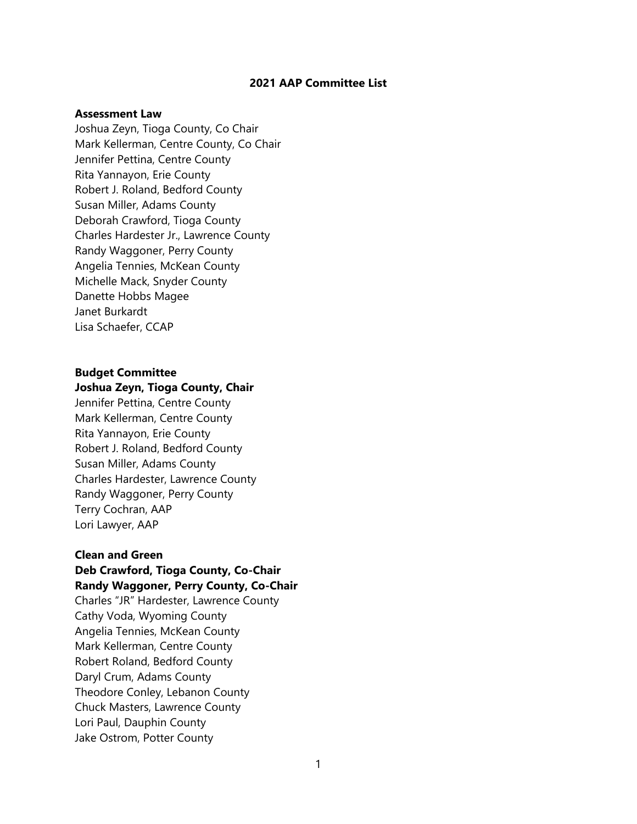## **2021 AAP Committee List**

### **Assessment Law**

Joshua Zeyn, Tioga County, Co Chair Mark Kellerman, Centre County, Co Chair Jennifer Pettina, Centre County Rita Yannayon, Erie County Robert J. Roland, Bedford County Susan Miller, Adams County Deborah Crawford, Tioga County Charles Hardester Jr., Lawrence County Randy Waggoner, Perry County Angelia Tennies, McKean County Michelle Mack, Snyder County Danette Hobbs Magee Janet Burkardt Lisa Schaefer, CCAP

# **Budget Committee**

#### **Joshua Zeyn, Tioga County, Chair**

Jennifer Pettina, Centre County Mark Kellerman, Centre County Rita Yannayon, Erie County Robert J. Roland, Bedford County Susan Miller, Adams County Charles Hardester, Lawrence County Randy Waggoner, Perry County Terry Cochran, AAP Lori Lawyer, AAP

# **Clean and Green Deb Crawford, Tioga County, Co-Chair Randy Waggoner, Perry County, Co-Chair**

Charles "JR" Hardester, Lawrence County Cathy Voda, Wyoming County Angelia Tennies, McKean County Mark Kellerman, Centre County Robert Roland, Bedford County Daryl Crum, Adams County Theodore Conley, Lebanon County Chuck Masters, Lawrence County Lori Paul, Dauphin County Jake Ostrom, Potter County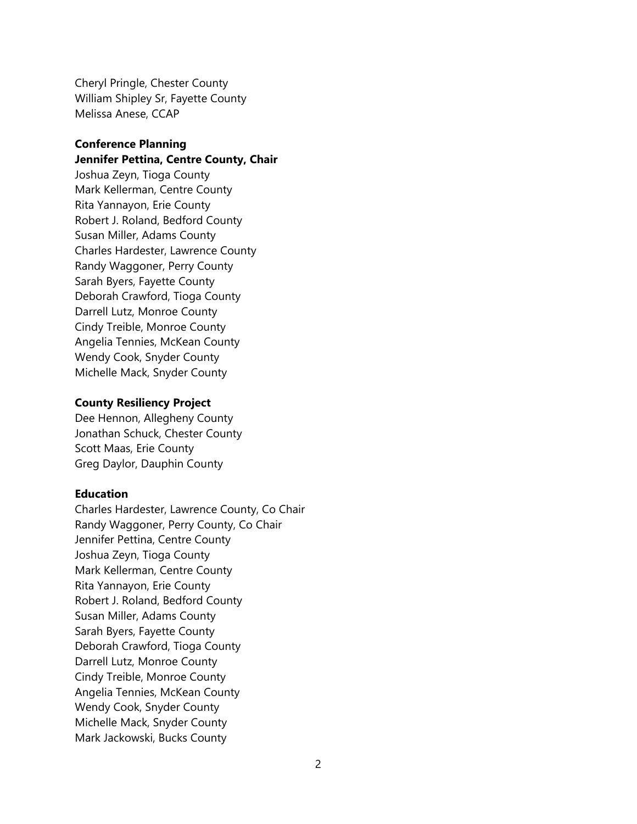Cheryl Pringle, Chester County William Shipley Sr, Fayette County Melissa Anese, CCAP

# **Conference Planning Jennifer Pettina, Centre County, Chair**

Joshua Zeyn, Tioga County Mark Kellerman, Centre County Rita Yannayon, Erie County Robert J. Roland, Bedford County Susan Miller, Adams County Charles Hardester, Lawrence County Randy Waggoner, Perry County Sarah Byers, Fayette County Deborah Crawford, Tioga County Darrell Lutz, Monroe County Cindy Treible, Monroe County Angelia Tennies, McKean County Wendy Cook, Snyder County Michelle Mack, Snyder County

## **County Resiliency Project**

Dee Hennon, Allegheny County Jonathan Schuck, Chester County Scott Maas, Erie County Greg Daylor, Dauphin County

# **Education**

Charles Hardester, Lawrence County, Co Chair Randy Waggoner, Perry County, Co Chair Jennifer Pettina, Centre County Joshua Zeyn, Tioga County Mark Kellerman, Centre County Rita Yannayon, Erie County Robert J. Roland, Bedford County Susan Miller, Adams County Sarah Byers, Fayette County Deborah Crawford, Tioga County Darrell Lutz, Monroe County Cindy Treible, Monroe County Angelia Tennies, McKean County Wendy Cook, Snyder County Michelle Mack, Snyder County Mark Jackowski, Bucks County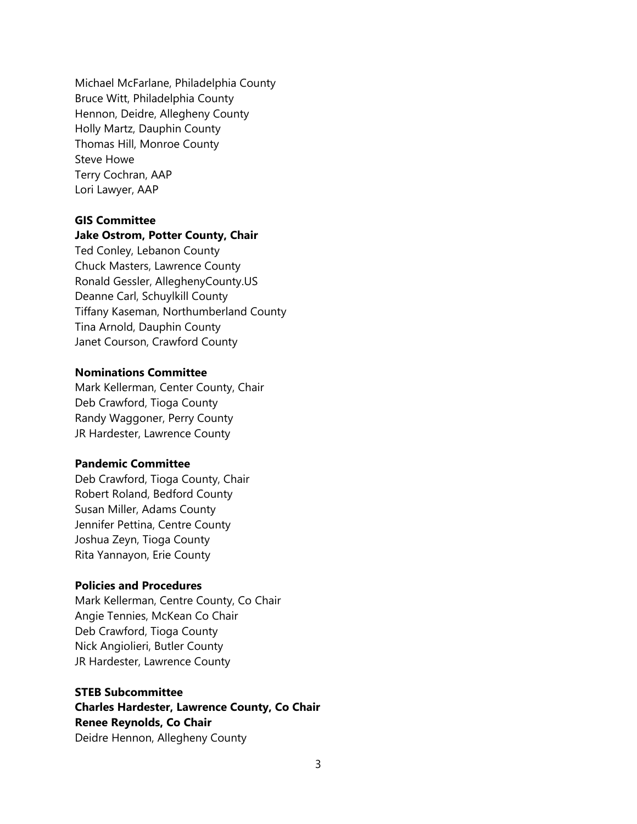Michael McFarlane, Philadelphia County Bruce Witt, Philadelphia County Hennon, Deidre, Allegheny County Holly Martz, Dauphin County Thomas Hill, Monroe County Steve Howe Terry Cochran, AAP Lori Lawyer, AAP

#### **GIS Committee**

## **Jake Ostrom, Potter County, Chair**

Ted Conley, Lebanon County Chuck Masters, Lawrence County Ronald Gessler, AlleghenyCounty.US Deanne Carl, Schuylkill County Tiffany Kaseman, Northumberland County Tina Arnold, Dauphin County Janet Courson, Crawford County

## **Nominations Committee**

Mark Kellerman, Center County, Chair Deb Crawford, Tioga County Randy Waggoner, Perry County JR Hardester, Lawrence County

#### **Pandemic Committee**

Deb Crawford, Tioga County, Chair Robert Roland, Bedford County Susan Miller, Adams County Jennifer Pettina, Centre County Joshua Zeyn, Tioga County Rita Yannayon, Erie County

## **Policies and Procedures**

Mark Kellerman, Centre County, Co Chair Angie Tennies, McKean Co Chair Deb Crawford, Tioga County Nick Angiolieri, Butler County JR Hardester, Lawrence County

# **STEB Subcommittee Charles Hardester, Lawrence County, Co Chair Renee Reynolds, Co Chair** Deidre Hennon, Allegheny County